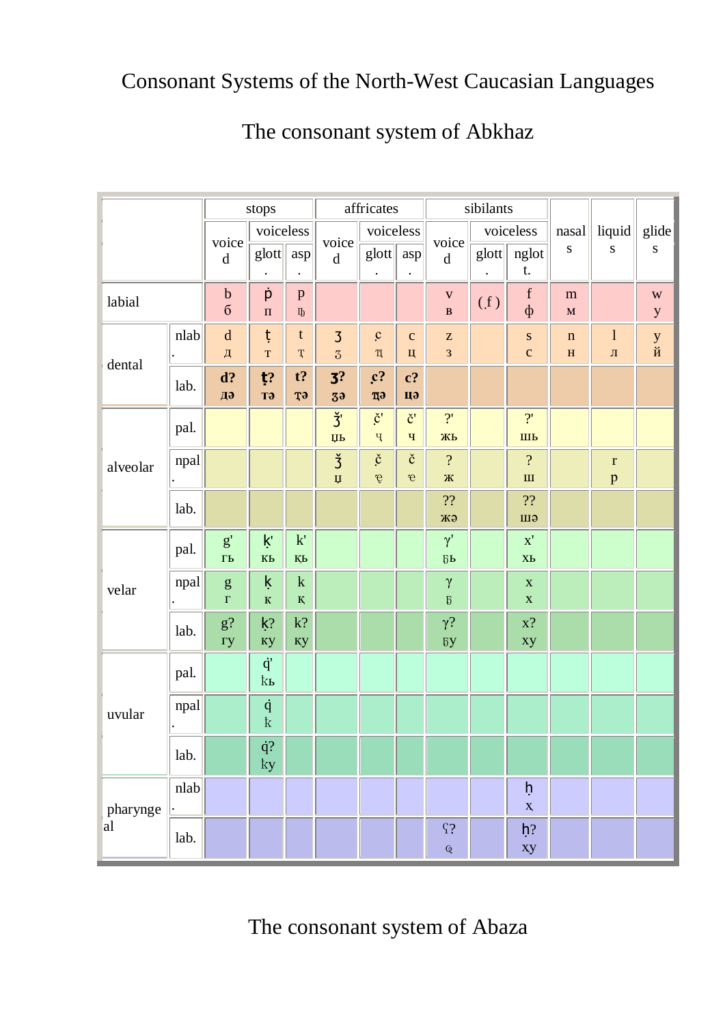## Consonant Systems of the North-West Caucasian Languages

|          |      |                                                        | stops                |                               |                                        | affricates                                     |                                        |                                       | sibilants |                                           |                            |                                   |                             |
|----------|------|--------------------------------------------------------|----------------------|-------------------------------|----------------------------------------|------------------------------------------------|----------------------------------------|---------------------------------------|-----------|-------------------------------------------|----------------------------|-----------------------------------|-----------------------------|
|          |      | voice<br>$\mathrm{d}% \left\  \mathbf{G}\right\  ^{2}$ | voiceless<br>glott   | asp                           | voice<br>$\mathbf d$                   | voiceless<br>$g$ lott                          | asp                                    | voice<br>$\rm d$                      | $g$ lott  | voiceless<br>nglot<br>t.                  | nasal<br>${\bf S}$         | liquid<br>${\bf S}$               | glide<br>${\bf S}$          |
| labial   |      | $\boldsymbol{b}$<br>$\sigma$                           | þ<br>$\Pi$           | $\, {\bf p}$<br>$\Pi\!$       |                                        |                                                |                                        | $\mathbf V$<br>$\, {\bf B}$           | (f)       | $\mathbf f$<br>$\Phi$                     | m<br>$\mathbf M$           |                                   | $\mathbf W$<br>$\mathbf{y}$ |
| dental   | nlab | ${\bf d}$<br>$\sqrt{\mu}$                              | ţ<br>$\mathbf T$     | $\mathfrak{t}$<br>$\mathbf T$ | $\overline{3}$<br>$\overline{3}$       | $\mathbf{c}$<br>$\mathbbm{I}\hspace{-0.75mm}I$ | $\mathbf{C}$<br>Ц                      | $\mathbf Z$<br>3                      |           | ${\bf S}$<br>$\mathbf c$                  | $\mathbf n$<br>$\mathbf H$ | $\mathbf{l}$<br>$\rm J{\small I}$ | у $\breve{\varkappa}$       |
|          | lab. | d?<br>Дә                                               | ţ?<br><b>T</b> ə     | $t$ ?<br><b>T</b> ə           | 3 <sup>2</sup><br>3 <sub>3</sub>       | $\mathfrak{c}$ ?<br>цэ                         | $c$ ?<br>цэ                            |                                       |           |                                           |                            |                                   |                             |
| alveolar | pal. |                                                        |                      |                               | $\check{3}$<br>$\overline{\text{HP}}$  | $\check{\mathbf{c}}$ '<br>$\rm q$              | $\check{\mathbf{c}}$ '<br>$\mathbf{q}$ | 2'<br>ЖЬ                              |           | 2'<br>ШЬ                                  |                            |                                   |                             |
|          | npal |                                                        |                      |                               | $\check{3}$<br>$\overline{\mathbf{u}}$ | $\check{\rm c}$<br>$\acute{\text e}$           | $\check{\mathbf{C}}$<br>$\mathbf{e}$   | $\overline{\mathcal{L}}$<br>Ж         |           | $\overline{\mathcal{L}}$<br>$\mathbf{H}%$ |                            | $\mathbf r$<br>p                  |                             |
|          | lab. |                                                        |                      |                               |                                        |                                                |                                        | $\boldsymbol{?} \boldsymbol{?}$<br>жә |           | 22<br>Шә                                  |                            |                                   |                             |
|          | pal. | $\mathbf{g}^{\prime}$<br>$\Gamma$ Ь                    | ķ'<br>KЬ             | $\mathbf{k}'$<br>ҚЬ           |                                        |                                                |                                        | $\gamma'$<br>$\overline{b}P$          |           | $\mathbf{x}'$<br>X <sub>b</sub>           |                            |                                   |                             |
| velar    | npal | $\mathbf{g}% _{0}$<br>$\Gamma$                         | ķ<br>$\bf K$         | $\mathbf k$<br>${\bf K}$      |                                        |                                                |                                        | $\gamma$<br>$\mathfrak h$             |           | $\mathbf X$<br>$\mathbf X$                |                            |                                   |                             |
|          | lab. | $g$ ?<br>Гy                                            | $k$ ?<br>кy          | $\mathbf{k} ?$<br>кy          |                                        |                                                |                                        | $\gamma?$<br>$\delta y$               |           | $x$ ?<br>xy                               |                            |                                   |                             |
|          | pal. |                                                        | $\dot{q}'$<br>ķР     |                               |                                        |                                                |                                        |                                       |           |                                           |                            |                                   |                             |
| uvular   | npal |                                                        | $\dot{q}$<br>$\rm k$ |                               |                                        |                                                |                                        |                                       |           |                                           |                            |                                   |                             |
|          | lab. |                                                        | $\dot{q} ?$<br>ky    |                               |                                        |                                                |                                        |                                       |           |                                           |                            |                                   |                             |
| pharynge | nlab |                                                        |                      |                               |                                        |                                                |                                        |                                       |           | ķ<br>$\mathbf{X}$                         |                            |                                   |                             |
| al       | lab. |                                                        |                      |                               |                                        |                                                |                                        | $\Omega$<br>$\overline{\mathbb Q}$    |           | $h$ ?<br>xy                               |                            |                                   |                             |

## The consonant system of Abkhaz

#### The consonant system of Abaza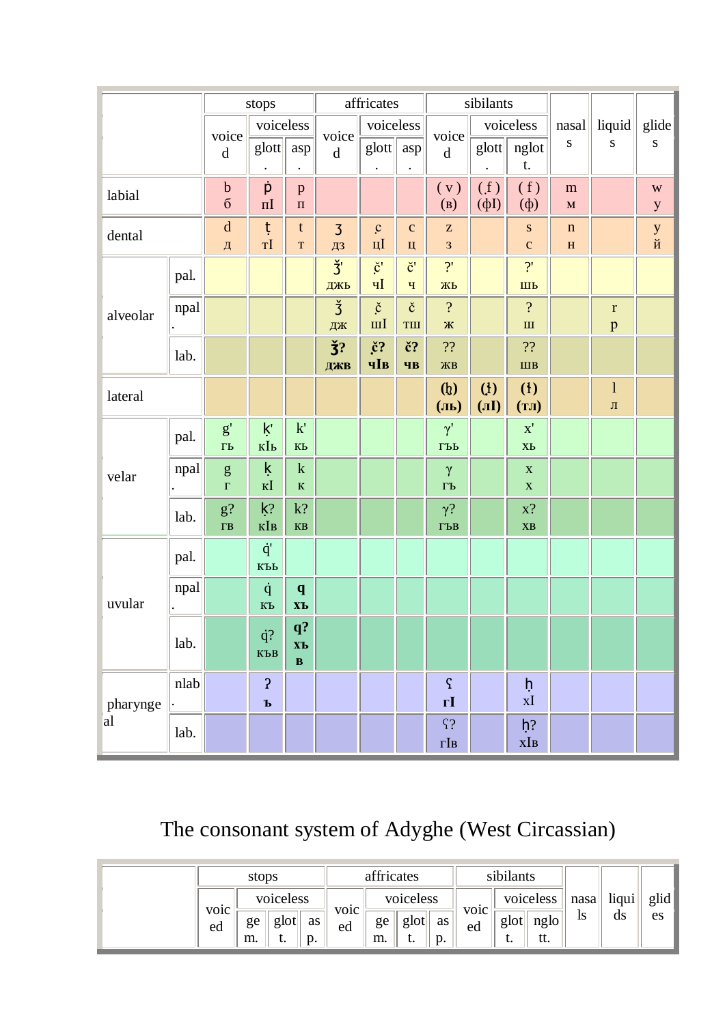|          |      |                                     | stops                         |                                           |                      | affricates                           |                                             |                                                            | sibilants            |                                          |                            |                             |                             |
|----------|------|-------------------------------------|-------------------------------|-------------------------------------------|----------------------|--------------------------------------|---------------------------------------------|------------------------------------------------------------|----------------------|------------------------------------------|----------------------------|-----------------------------|-----------------------------|
|          |      | voice                               | voiceless                     |                                           | voice                | voiceless                            |                                             | voice                                                      |                      | voiceless                                | nasal                      | liquid                      | glide                       |
|          |      | $\mathbf d$                         | glott                         | asp                                       | $\mathbf d$          | $g$ lott $\parallel$                 | asp                                         | $\mathbf d$                                                | glott                | nglot<br>t.                              | ${\bf S}$                  | ${\bf S}$                   | ${\bf S}$                   |
| labial   |      | $\mathbf b$<br>$\sigma$             | þ<br>$\Pi$                    | $\mathbf{p}$<br>$\Pi$                     |                      |                                      |                                             | (v)<br>(B)                                                 | (f)<br>$(\phi I)$    | (f)<br>$(\phi)$                          | m<br>$\mathbf M$           |                             | $\mathbf W$<br>$\mathbf{y}$ |
| dental   |      | $\mathbf d$<br>Д                    | ţ<br>TI                       | $\mathbf t$<br>$\mathbf T$                | $\overline{3}$<br>ДЗ | $\mathbf{c}$<br>$\mathbf{H}$         | $\mathbf{C}$<br>Ц                           | $\mathbf{Z}% ^{T}=\mathbf{Z}^{T}\times\mathbf{Z}^{T}$<br>3 |                      | ${\bf S}$<br>$\mathbf{C}$                | $\mathbf n$<br>$\mathbf H$ |                             | у $\breve{\varkappa}$       |
| alveolar | pal. |                                     |                               |                                           | $\check{3}$<br>ДЖЬ   | $\check{\mathbf{c}}$<br>qI           | $\check{\mathbf{c}}$ '<br>$\mathbf{q}$      | 2'<br>ЖЬ                                                   |                      | $\overline{?}$<br>ШЬ                     |                            |                             |                             |
|          | npal |                                     |                               |                                           | $\check{3}$<br>ДЖ    | $\check{\mathbf{c}}$<br>$\mathbf{m}$ | $\check{\rm c}$<br>$\mathbf{T}\mathbf{III}$ | $\overline{?}$<br>Ж                                        |                      | $\overline{?}$<br>$\mathbf{I}\mathbf{I}$ |                            | $\mathbf r$<br>$\mathbf{p}$ |                             |
|          | lab. |                                     |                               |                                           | $\check{3}$ ?<br>ДЖВ | $\check{c}$ ?<br>чIв                 | č?<br>ЧB                                    | ??<br>ЖВ                                                   |                      | 22<br>IIIB                               |                            |                             |                             |
| lateral  |      |                                     |                               |                                           |                      |                                      |                                             | (b)<br>(JIP)                                               | $($ l $)$<br>$(\Pi)$ | $\left(1\right)$<br>(TJ)                 |                            | $\mathbf{1}$<br>$\,\Pi$     |                             |
|          | pal. | $\mathbf{g}^{\prime}$<br>$\Gamma$ Ь | ķ'<br>кIь                     | $\mathbf{k}'$<br>$\mathbf{K}$ Ь           |                      |                                      |                                             | $\gamma'$<br>ГЪЬ                                           |                      | $\mathbf{x}'$<br>XЬ                      |                            |                             |                             |
| velar    | npal | ${\sf g}$<br>$\Gamma$               | ķ<br>$K$ <sup>I</sup>         | $\mathbf k$<br>${\bf K}$                  |                      |                                      |                                             | $\gamma$<br>$\Gamma$ Ь                                     |                      | $\mathbf X$<br>$\mathbf X$               |                            |                             |                             |
|          | lab. | $\mathbf{g} ?$<br>$\Gamma$ <b>B</b> | $k$ ?<br>кІв                  | $k$ ?<br>$\mathbf{KB}$                    |                      |                                      |                                             | $\gamma$ ?<br>$\Gamma$ ЪВ                                  |                      | $x$ ?<br>XB                              |                            |                             |                             |
|          | pal. |                                     | $\dot{q}'$<br>КЪЬ             |                                           |                      |                                      |                                             |                                                            |                      |                                          |                            |                             |                             |
| uvular   | npal |                                     | $\dot{q}$<br>КЪ               | $\mathbf q$<br>$X$ Ъ                      |                      |                                      |                                             |                                                            |                      |                                          |                            |                             |                             |
|          | lab. |                                     | $\dot{q}$ ?<br>KЪB            | $q$ ?<br>$X$ Ъ<br>$\overline{\mathbf{B}}$ |                      |                                      |                                             |                                                            |                      |                                          |                            |                             |                             |
| pharynge | nlab |                                     | $\overline{c}$<br>$\mathbf b$ |                                           |                      |                                      |                                             | $\varsigma$<br>$\mathbf{r}\mathbf{I}$                      |                      | ķ<br>xI                                  |                            |                             |                             |
| al       | lab. |                                     |                               |                                           |                      |                                      |                                             | $\Omega$<br>$\Gamma$ <b>IB</b>                             |                      | $h$ ?<br>xIB                             |                            |                             |                             |

## The consonant system of Adyghe (West Circassian)

|                         | stops    |                         | affricates        |                   |          |                         |          | sibilants               |            |                                      |                              |             |            |
|-------------------------|----------|-------------------------|-------------------|-------------------|----------|-------------------------|----------|-------------------------|------------|--------------------------------------|------------------------------|-------------|------------|
| VO <sub>1</sub> C<br>ed | ge<br>m. | voiceless<br>glot<br>ւ. | as<br>$p_{\cdot}$ | <b>VOIC</b><br>ed | ge<br>m. | voiceless<br>glot<br>ւ. | as<br>p. | VO <sub>1</sub> C<br>ed | glot<br>ι. | voiceless<br>$\frac{ng}{log}$<br>tt. | $\textsf{nasa}$<br><b>IS</b> | liqui<br>ds | glid<br>es |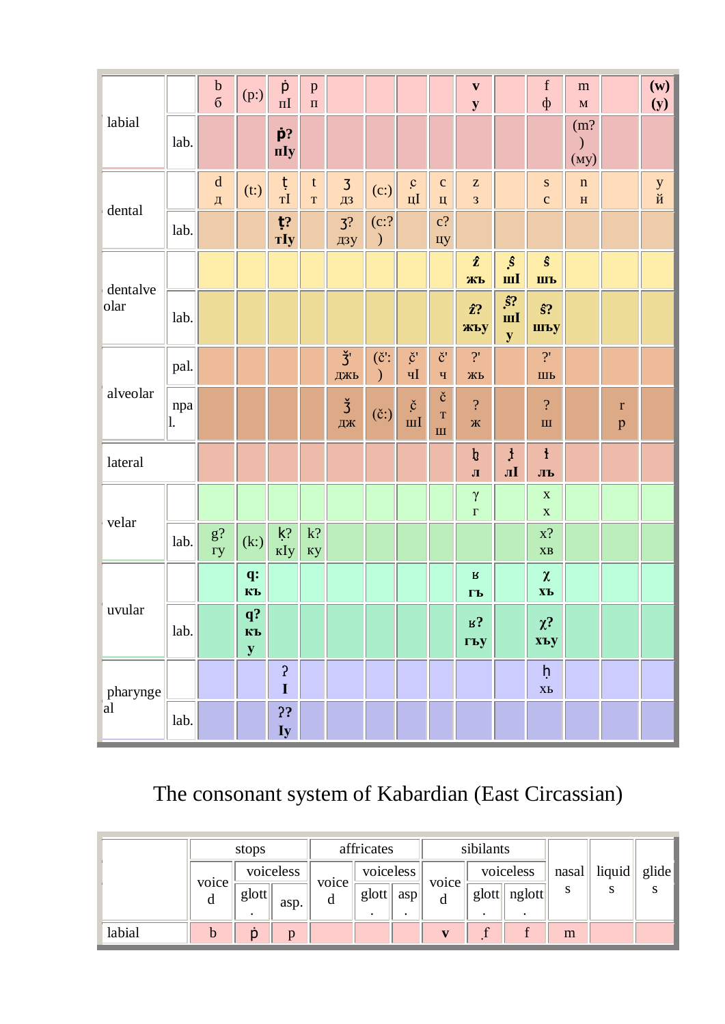|                  |           | $\frac{b}{6}$             | (p:)                              | p<br>$\Pi$                     | $\, {\bf p}$<br>$\overline{\mathbf{u}}$ |                       |                                            |                                                              |                                                | $\mathbf{v}$<br>${\bf y}$                                  |                                                      | $\mathbf f$<br>$\Phi$                     | ${\bf m}$<br>$\mathbf M$     |                             | $(\mathbf{w})$<br>(y)  |
|------------------|-----------|---------------------------|-----------------------------------|--------------------------------|-----------------------------------------|-----------------------|--------------------------------------------|--------------------------------------------------------------|------------------------------------------------|------------------------------------------------------------|------------------------------------------------------|-------------------------------------------|------------------------------|-----------------------------|------------------------|
| labial           | lab.      |                           |                                   | $\dot{\mathbf{p}}$ ?<br>пIу    |                                         |                       |                                            |                                                              |                                                |                                                            |                                                      |                                           | (m?<br>$\mathcal{E}$<br>(My) |                             |                        |
| dental           |           | ${\bf d}$<br>$\sqrt{\mu}$ | (t)                               | ţ<br>$T\bar{I}$                | t<br>$\mathbf T$                        | $\overline{3}$<br>ДЗ  | (c:)                                       | $\mathbf{c}$<br>$\ensuremath{\text{H}}\ensuremath{\text{I}}$ | $\mathbf{C}$<br>Ц                              | $\mathbf{Z}% ^{T}=\mathbf{Z}^{T}\times\mathbf{Z}^{T}$<br>3 |                                                      | ${\bf S}$<br>$\mathbf{C}$                 | $\mathbf n$<br>$\mathbf H$   |                             | у $\breve{\mathbf{M}}$ |
|                  | lab.      |                           |                                   | $t$ ?<br>$Tly$                 |                                         | 3 <sup>2</sup><br>дзу | $(c$ :?<br>$\mathcal{)}$                   |                                                              | $c$ ?<br>цу                                    |                                                            |                                                      |                                           |                              |                             |                        |
| dentalve<br>olar |           |                           |                                   |                                |                                         |                       |                                            |                                                              |                                                | $\hat{z}$<br>ЖЪ                                            | $\hat{s}$<br>III                                     | $\hat{\mathbf{s}}$<br>ШЪ                  |                              |                             |                        |
|                  | lab.      |                           |                                   |                                |                                         |                       |                                            |                                                              |                                                | $\hat{z}$ ?<br>жьу                                         | $\hat{s}$<br>$\mathbf{m} \mathbf{I}$<br>$\mathbf{y}$ | $\hat{\mathbf{s}}$ ?<br>шъу               |                              |                             |                        |
|                  | pal.      |                           |                                   |                                |                                         | $\check{3}$<br>ДЖЬ    | $(\check{\mathbf{c}}')$ :<br>$\mathcal{C}$ | $\check{\mathbf{c}}$<br>$\mathbf{q}$                         | $\check{\mathbf{c}}$<br>$\mathbf{q}$           | $\overline{?}$<br>ЖЬ                                       |                                                      | $\overline{?}$<br>ШЬ                      |                              |                             |                        |
| alveolar         | npa<br>1. |                           |                                   |                                |                                         | $rac{3}{4}$           | $(\check{c})$                              | $\check{\mathbf{c}}$<br>$\overline{\mathbf{m}}$              | $\check{\rm c}$<br>$\mathbf T$<br>$\mathbf{H}$ | $\overline{\mathcal{L}}$<br>Ж                              |                                                      | $\overline{\mathcal{L}}$<br>$\mathbf{H}%$ |                              | $\mathbf r$<br>$\mathbf{p}$ |                        |
| lateral          |           |                           |                                   |                                |                                         |                       |                                            |                                                              |                                                | $\boldsymbol{\mathfrak{h}}$<br>$\sqrt{1}$                  | $\mathbf{1}$<br>лІ                                   | $\mathbf{1}$<br>ЛЪ                        |                              |                             |                        |
|                  |           |                           |                                   |                                |                                         |                       |                                            |                                                              |                                                | $\gamma$<br>$\Gamma$                                       |                                                      | $\mathbf X$<br>$\mathbf X$                |                              |                             |                        |
| velar            | lab.      | $g$ ?<br>$ry$             | (k)                               | $\mathsf{k}2$<br>кIу           | $\mathbf{k} ?$<br>Ky                    |                       |                                            |                                                              |                                                |                                                            |                                                      | $x$ ?<br>$\overline{\bf X} {\bf B}$       |                              |                             |                        |
|                  |           |                           | q:<br>КЪ                          |                                |                                         |                       |                                            |                                                              |                                                | $\, {\bf R}$<br>$\Gamma$ Ь                                 |                                                      | $\pmb{\chi}$<br>$X$ Ъ                     |                              |                             |                        |
| uvular           | lab.      |                           | $\mathbf{q}$ ?<br>КЪ<br>${\bf y}$ |                                |                                         |                       |                                            |                                                              |                                                | $R_3$<br>гъу                                               |                                                      | $\chi$ ?<br>xъy                           |                              |                             |                        |
| pharynge         |           |                           |                                   | $\boldsymbol{\mathsf{S}}$<br>I |                                         |                       |                                            |                                                              |                                                |                                                            |                                                      | $\mathsf h$<br>X <sub>b</sub>             |                              |                             |                        |
| al               | lab.      |                           |                                   | ??<br>Iy                       |                                         |                       |                                            |                                                              |                                                |                                                            |                                                      |                                           |                              |                             |                        |

# The consonant system of Kabardian (East Circassian)

|        | stops      |           |      | affricates |           |     |            | sibilants     |        |                           |        |       |
|--------|------------|-----------|------|------------|-----------|-----|------------|---------------|--------|---------------------------|--------|-------|
|        | voice<br>a | voiceless |      |            | voiceless |     |            | voiceless     |        | $\lfloor$ nasal $\lfloor$ | liquid | glide |
|        |            | glott     | asp. | voice<br>d | glott     | asp | voice<br>d | $g$ lott $  $ | nglott | S                         | S      |       |
| labial |            |           | n    |            |           |     |            |               |        | m                         |        |       |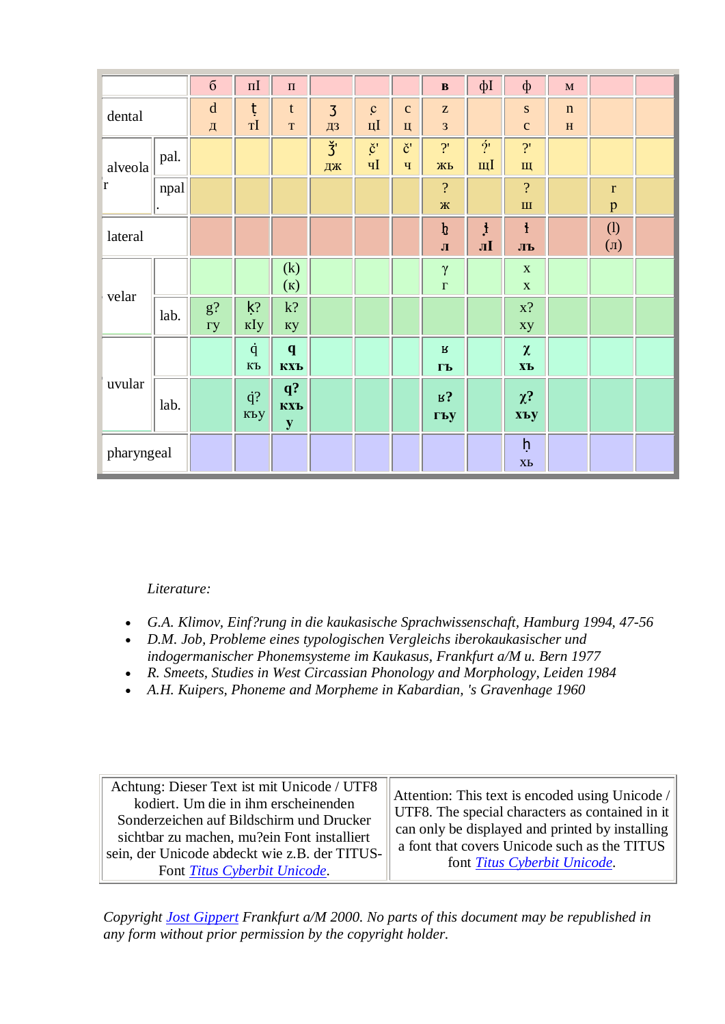|              |      | $\sqrt{6}$          | $\Pi$                       | $\Pi$                         |                      |                                       |                                       | $\, {\bf B}$                                               | фІ                       | $\Phi$                                    | $\mathbf M$                 |                  |  |
|--------------|------|---------------------|-----------------------------|-------------------------------|----------------------|---------------------------------------|---------------------------------------|------------------------------------------------------------|--------------------------|-------------------------------------------|-----------------------------|------------------|--|
| dental       |      | $\mathbf d$<br>Д    | ţ<br>$\mathbf{T}\mathbf{I}$ | $\mathfrak{t}$<br>$\mathbf T$ | $\overline{3}$<br>ДЗ | $\mathbf{c}$<br>$\mathbf{H}$          | $\mathbf C$<br>Ц                      | $\mathbf{Z}% ^{T}=\mathbf{Z}^{T}\times\mathbf{Z}^{T}$<br>3 |                          | ${\bf S}$<br>$\mathbf{C}$                 | $\mathbf n$<br>$\, {\bf H}$ |                  |  |
| alveola<br>ľ | pal. |                     |                             |                               | $\check{3}$<br>ДЖ    | $\check{\mathbf{c}}'$<br>$\mathbf{q}$ | $\check{\mathbf{c}}'$<br>$\mathbf{q}$ | 2'<br>ЖЬ                                                   | $\overline{\gamma}$<br>щ | $\overline{?}$<br>Щ                       |                             |                  |  |
|              | npal |                     |                             |                               |                      |                                       |                                       | $\overline{\mathcal{L}}$<br>Ж $\,$                         |                          | $\overline{\mathcal{L}}$<br>$\mathbf{H}%$ |                             | $\mathbf r$<br>p |  |
| lateral      |      |                     |                             |                               |                      |                                       |                                       | $\boldsymbol{\mathfrak{h}}$<br>$\mathbf{J}$                | $\mathbf{1}$<br>лІ       | $\mathbf{1}$<br>ЛЪ                        |                             | (1)<br>$(\Pi)$   |  |
|              |      |                     |                             | (k)<br>(K)                    |                      |                                       |                                       | $\gamma$<br>$\Gamma$                                       |                          | $\mathbf X$<br>$\mathbf X$                |                             |                  |  |
| velar        | lab. | $g$ ?<br>$\Gamma y$ | $k$ ?<br>кIу                | $k$ ?<br>кy                   |                      |                                       |                                       |                                                            |                          | $x$ ?<br>xy                               |                             |                  |  |
|              |      |                     | $\dot{q}$<br>$\mathbf{K}$ Ъ | $\mathbf{q}$<br>КХЪ           |                      |                                       |                                       | $\mathbf B$<br>$\Gamma$ Ь                                  |                          | $\pmb{\chi}$<br>XЪ                        |                             |                  |  |
| uvular       | lab. |                     | $\dot{q}?$<br>къу           | $q$ ?<br>КХЪ<br>${\bf y}$     |                      |                                       |                                       | $R_3$<br>гъу                                               |                          | $\chi^2$<br>хъу                           |                             |                  |  |
| pharyngeal   |      |                     |                             |                               |                      |                                       |                                       |                                                            |                          | $\mathsf{h}$<br>XЬ                        |                             |                  |  |

Literature:

- G.A. Klimov, Einf?rung in die kaukasische Sprachwissenschaft, Hamburg 1994, 47-56
- D.M. Job, Probleme eines typologischen Vergleichs iberokaukasischer und indogermanischer Phonemsysteme im Kaukasus, Frankfurt a/M u. Bern 1977
- R. Smeets, Studies in West Circassian Phonology and Morphology, Leiden 1984
- A.H. Kuipers, Phoneme and Morpheme in Kabardian, 's Gravenhage 1960

Achtung: Dieser Text ist mit Unicode / UTF8 Attention: This text is encoded using Unicode / kodiert. Um die in ihm erscheinenden UTF8. The special characters as contained in it Sonderzeichen auf Bildschirm und Drucker can only be displayed and printed by installing sichtbar zu machen, mu?ein Font installiert a font that covers Unicode such as the TITUS sein, der Unicode abdeckt wie z.B. der TITUSfont Titus Cyberbit Unicode. Font Titus Cyberbit Unicode.

Copyright Jost Gippert Frankfurt a/M 2000. No parts of this document may be republished in any form without prior permission by the copyright holder.